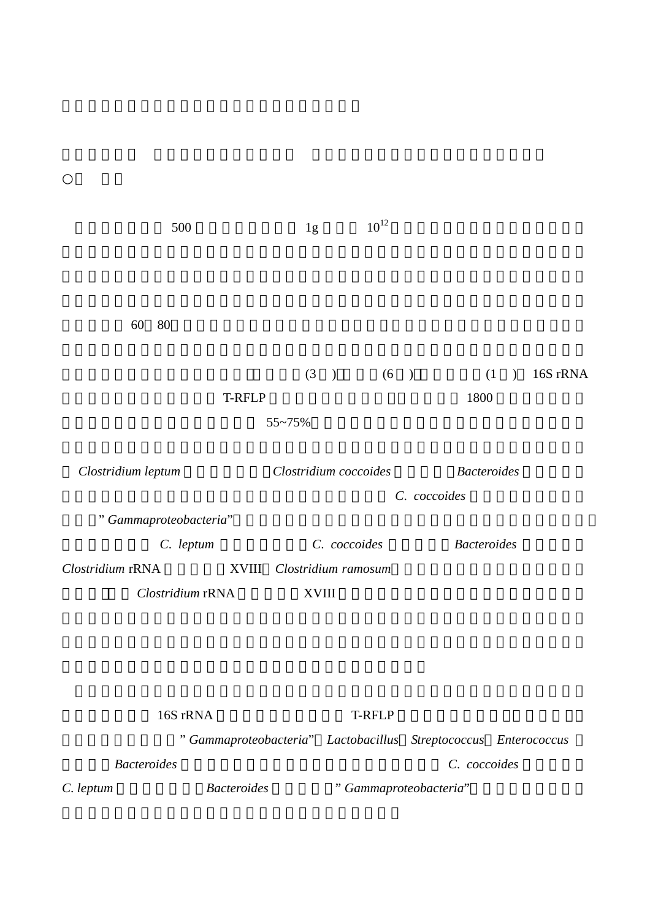| 500                   |               | 1g                    | $10^{12}$ |                    |          |  |
|-----------------------|---------------|-----------------------|-----------|--------------------|----------|--|
|                       |               |                       |           |                    |          |  |
|                       |               |                       |           |                    |          |  |
| 80<br>60              |               |                       |           |                    |          |  |
|                       |               | (3)                   | (6)       | (1)                | 16S rRNA |  |
|                       | <b>T-RFLP</b> |                       |           | 1800               |          |  |
|                       |               | 55~75%                |           |                    |          |  |
| Clostridium leptum    |               | Clostridium coccoides |           |                    |          |  |
|                       |               | C. coccoides          |           |                    |          |  |
| "Gammaproteobacteria" |               |                       |           |                    |          |  |
| C. leptum             |               | C. coccoides          |           | <b>Bacteroides</b> |          |  |
| Clostridium rRNA      | XVIII         | Clostridium ramosum   |           |                    |          |  |
| Clostridium rRNA      |               | <b>XVIII</b>          |           |                    |          |  |
|                       |               |                       |           |                    |          |  |

16S rRNA **T-RFLP** 

腸、回腸においては" *Gammaproteobacteria*" *Lactobacillus Streptococcus Enterococcus*  **Bacteroides** *C.* coccoides *C.* leptum *Bacteroides*  $\blacksquare$  <sup>2</sup> *Gammaproteobacteria*"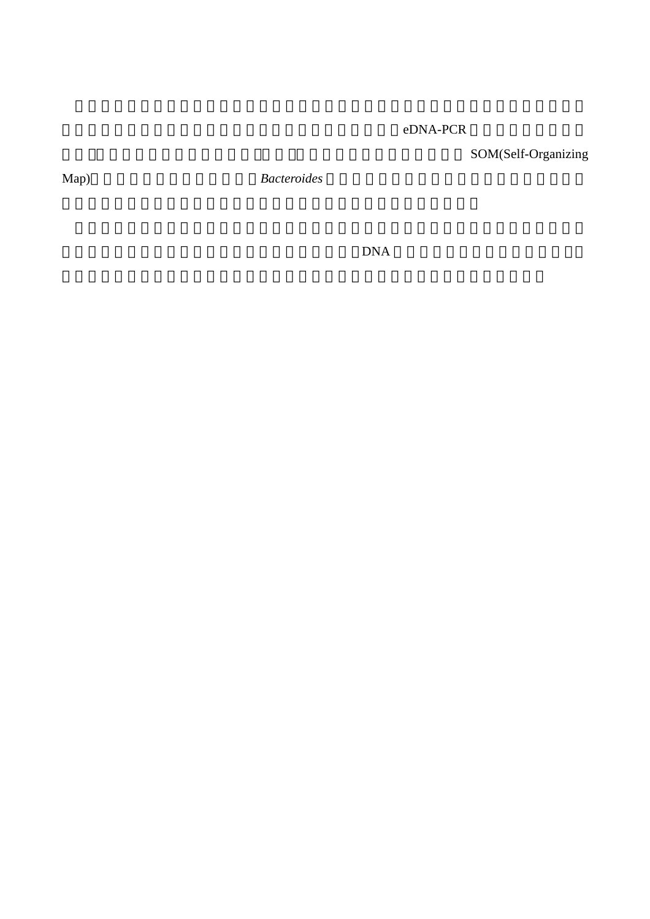## eDNA-PCR

SOM(Self-Organizing

Map) Bacteroides

DNA  $DNA$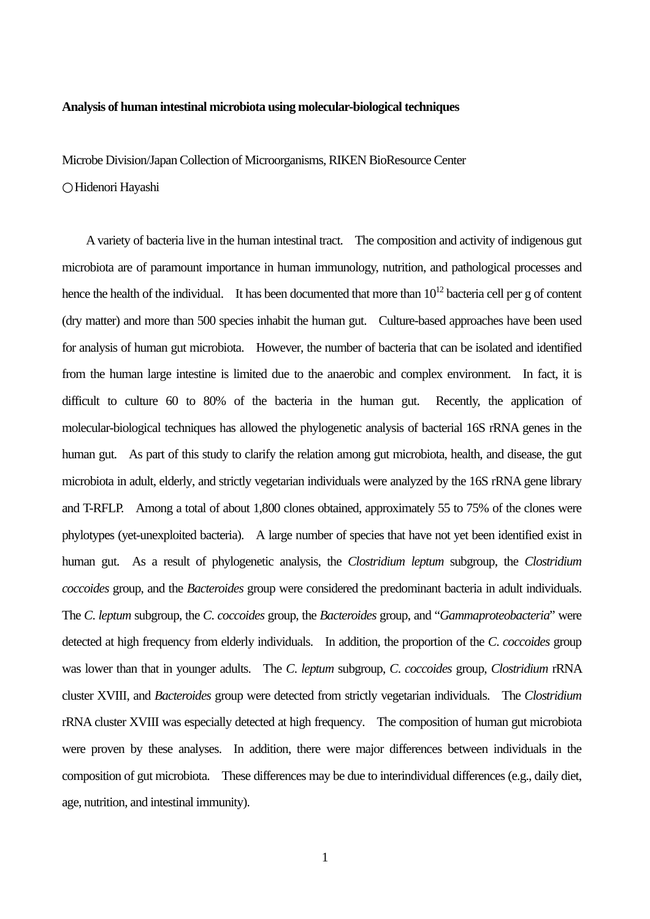## **Analysis of human intestinal microbiota using molecular-biological techniques**

Microbe Division/Japan Collection of Microorganisms, RIKEN BioResource Center

Hidenori Hayashi

A variety of bacteria live in the human intestinal tract. The composition and activity of indigenous gut microbiota are of paramount importance in human immunology, nutrition, and pathological processes and hence the health of the individual. It has been documented that more than  $10^{12}$  bacteria cell per g of content (dry matter) and more than 500 species inhabit the human gut. Culture-based approaches have been used for analysis of human gut microbiota. However, the number of bacteria that can be isolated and identified from the human large intestine is limited due to the anaerobic and complex environment.In fact, it is difficult to culture 60 to 80% of the bacteria in the human gut. Recently, the application of molecular-biological techniques has allowed the phylogenetic analysis of bacterial 16S rRNA genes in the human gut. As part of this study to clarify the relation among gut microbiota, health, and disease, the gut microbiota in adult, elderly, and strictly vegetarian individuals were analyzed by the 16S rRNA gene library and T-RFLP. Among a total of about 1,800 clones obtained, approximately 55 to 75% of the clones were phylotypes (yet-unexploited bacteria). A large number of species that have not yet been identified exist in human gut. As a result of phylogenetic analysis, the *Clostridium leptum* subgroup, the *Clostridium coccoides* group, and the *Bacteroides* group were considered the predominant bacteria in adult individuals. The *C*. *leptum* subgroup, the *C*. *coccoides* group, the *Bacteroides* group, and "*Gammaproteobacteria*" were detected at high frequency from elderly individuals. In addition, the proportion of the *C*. *coccoides* group was lower than that in younger adults. The *C*. *leptum* subgroup, *C*. *coccoides* group, *Clostridium* rRNA cluster XVIII, and *Bacteroides* group were detected from strictly vegetarian individuals. The *Clostridium*  rRNA cluster XVIII was especially detected at high frequency. The composition of human gut microbiota were proven by these analyses. In addition, there were major differences between individuals in the composition of gut microbiota. These differences may be due to interindividual differences (e.g., daily diet, age, nutrition, and intestinal immunity).